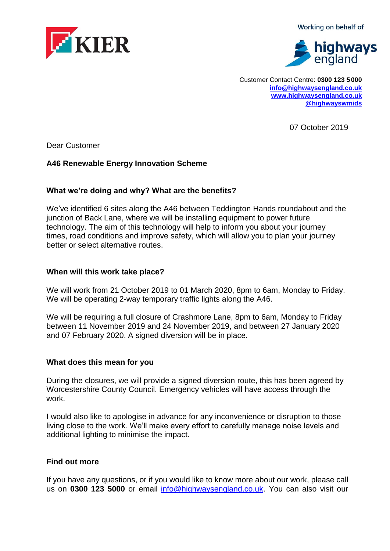Working on behalf of



Customer Contact Centre: **0300 123 5 000 [info@highwaysengland.co.uk](file:///C:/Users/birdj/AppData/Local/Microsoft/Windows/Temporary%20Internet%20Files/Content.Outlook/3314PJAN/info@highwaysengland.co.uk) [www.highwaysengland.co.uk](http://www.highwaysengland.co.uk/) [@highwayswmids](https://twitter.com/@highwayswmids)**

07 October 2019

Dear Customer

# **A46 Renewable Energy Innovation Scheme**

## **What we're doing and why? What are the benefits?**

We've identified 6 sites along the A46 between Teddington Hands roundabout and the junction of Back Lane, where we will be installing equipment to power future technology. The aim of this technology will help to inform you about your journey times, road conditions and improve safety, which will allow you to plan your journey better or select alternative routes.

### **When will this work take place?**

We will work from 21 October 2019 to 01 March 2020, 8pm to 6am, Monday to Friday. We will be operating 2-way temporary traffic lights along the A46.

We will be requiring a full closure of Crashmore Lane, 8pm to 6am, Monday to Friday between 11 November 2019 and 24 November 2019, and between 27 January 2020 and 07 February 2020. A signed diversion will be in place.

#### **What does this mean for you**

During the closures, we will provide a signed diversion route, this has been agreed by Worcestershire County Council. Emergency vehicles will have access through the work.

I would also like to apologise in advance for any inconvenience or disruption to those living close to the work. We'll make every effort to carefully manage noise levels and additional lighting to minimise the impact.

## **Find out more**

If you have any questions, or if you would like to know more about our work, please call us on **0300 123 5000** or email [info@highwaysengland.co.uk.](mailto:info@highwaysengland.co.uk) You can also visit our